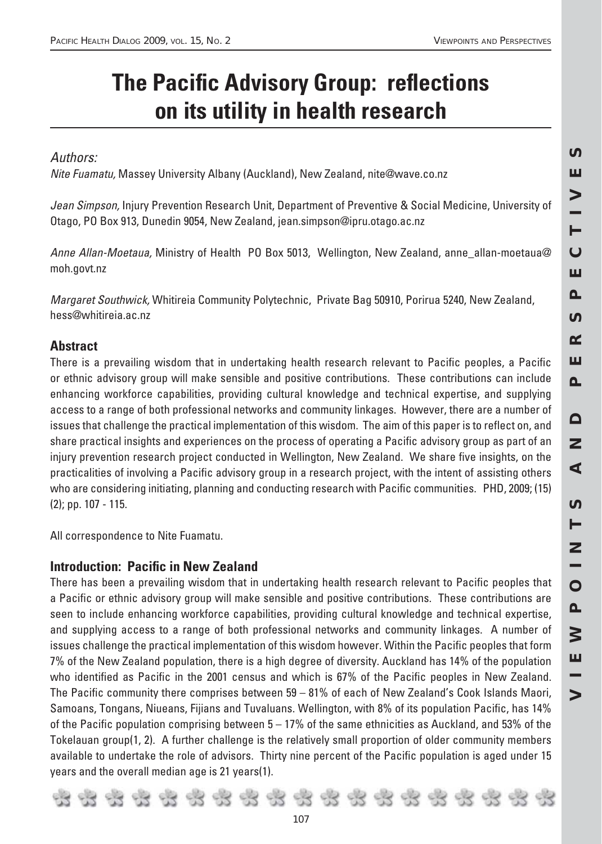# **The Pacific Advisory Group: reflections on its utility in health research**

# Authors:

Nite Fuamatu, Massey University Albany (Auckland), New Zealand, nite@wave.co.nz

Jean Simpson, Injury Prevention Research Unit, Department of Preventive & Social Medicine, University of Otago, PO Box 913, Dunedin 9054, New Zealand, jean.simpson@ipru.otago.ac.nz

Anne Allan-Moetaua, Ministry of Health PO Box 5013, Wellington, New Zealand, anne\_allan-moetaua@ moh.govt.nz

Margaret Southwick, Whitireia Community Polytechnic, Private Bag 50910, Porirua 5240, New Zealand, hess@whitireia.ac.nz

# **Abstract**

There is a prevailing wisdom that in undertaking health research relevant to Pacific peoples, a Pacific or ethnic advisory group will make sensible and positive contributions. These contributions can include enhancing workforce capabilities, providing cultural knowledge and technical expertise, and supplying access to a range of both professional networks and community linkages. However, there are a number of issues that challenge the practical implementation of this wisdom. The aim of this paper is to reflect on, and share practical insights and experiences on the process of operating a Pacific advisory group as part of an injury prevention research project conducted in Wellington, New Zealand. We share five insights, on the practicalities of involving a Pacific advisory group in a research project, with the intent of assisting others who are considering initiating, planning and conducting research with Pacific communities. PHD, 2009; (15) (2); pp. 107 - 115.

All correspondence to Nite Fuamatu.

# **Introduction: Pacific in New Zealand**

There has been a prevailing wisdom that in undertaking health research relevant to Pacific peoples that a Pacific or ethnic advisory group will make sensible and positive contributions. These contributions are seen to include enhancing workforce capabilities, providing cultural knowledge and technical expertise, and supplying access to a range of both professional networks and community linkages. A number of issues challenge the practical implementation of this wisdom however. Within the Pacific peoples that form 7% of the New Zealand population, there is a high degree of diversity. Auckland has 14% of the population who identified as Pacific in the 2001 census and which is 67% of the Pacific peoples in New Zealand. The Pacific community there comprises between  $59 - 81\%$  of each of New Zealand's Cook Islands Maori, Samoans, Tongans, Niueans, Fijians and Tuvaluans. Wellington, with 8% of its population Pacific, has 14% of the Pacific population comprising between  $5 - 17\%$  of the same ethnicities as Auckland, and 53% of the Tokelauan group(1, 2). A further challenge is the relatively small proportion of older community members available to undertake the role of advisors. Thirty nine percent of the Pacific population is aged under 15 years and the overall median age is 21 years(1).

*107*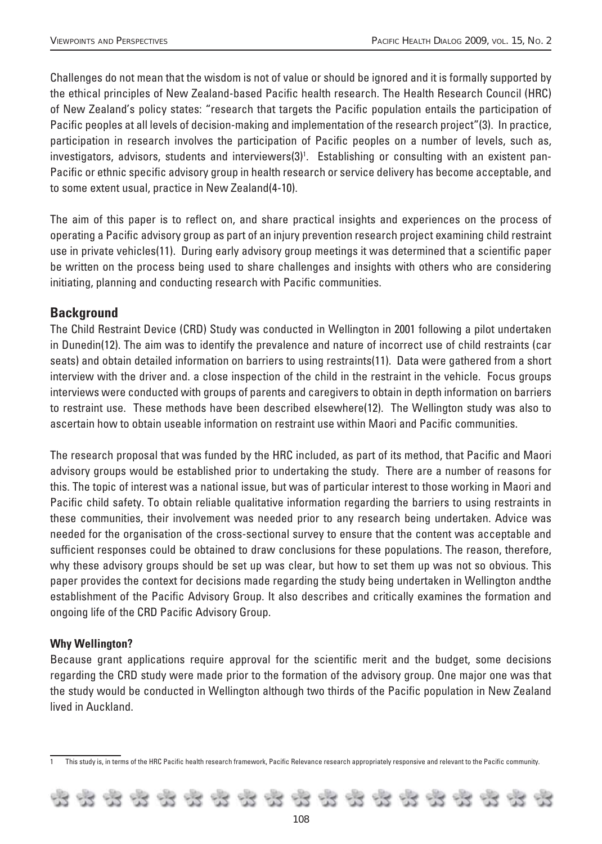Challenges do not mean that the wisdom is not of value or should be ignored and it is formally supported by the ethical principles of New Zealand-based Pacific health research. The Health Research Council (HRC) of New Zealand's policy states: "research that targets the Pacific population entails the participation of Pacific peoples at all levels of decision-making and implementation of the research project"(3). In practice, participation in research involves the participation of Pacific peoples on a number of levels, such as, investigators, advisors, students and interviewers(3)<sup>1</sup>. Establishing or consulting with an existent pan-Pacific or ethnic specific advisory group in health research or service delivery has become acceptable, and to some extent usual, practice in New Zealand(4-10).

The aim of this paper is to reflect on, and share practical insights and experiences on the process of operating a Pacific advisory group as part of an injury prevention research project examining child restraint use in private vehicles(11). During early advisory group meetings it was determined that a scientific paper be written on the process being used to share challenges and insights with others who are considering initiating, planning and conducting research with Pacific communities.

## **Background**

The Child Restraint Device (CRD) Study was conducted in Wellington in 2001 following a pilot undertaken in Dunedin(12). The aim was to identify the prevalence and nature of incorrect use of child restraints (car seats) and obtain detailed information on barriers to using restraints(11). Data were gathered from a short interview with the driver and. a close inspection of the child in the restraint in the vehicle. Focus groups interviews were conducted with groups of parents and caregivers to obtain in depth information on barriers to restraint use. These methods have been described elsewhere(12). The Wellington study was also to ascertain how to obtain useable information on restraint use within Maori and Pacific communities.

The research proposal that was funded by the HRC included, as part of its method, that Pacific and Maori advisory groups would be established prior to undertaking the study. There are a number of reasons for this. The topic of interest was a national issue, but was of particular interest to those working in Maori and Pacific child safety. To obtain reliable qualitative information regarding the barriers to using restraints in these communities, their involvement was needed prior to any research being undertaken. Advice was needed for the organisation of the cross-sectional survey to ensure that the content was acceptable and sufficient responses could be obtained to draw conclusions for these populations. The reason, therefore, why these advisory groups should be set up was clear, but how to set them up was not so obvious. This paper provides the context for decisions made regarding the study being undertaken in Wellington andthe establishment of the Pacific Advisory Group. It also describes and critically examines the formation and ongoing life of the CRD Pacific Advisory Group.

#### **Why Wellington?**

Because grant applications require approval for the scientific merit and the budget, some decisions regarding the CRD study were made prior to the formation of the advisory group. One major one was that the study would be conducted in Wellington although two thirds of the Pacific population in New Zealand lived in Auckland.

This study is, in terms of the HRC Pacific health research framework, Pacific Relevance research appropriately responsive and relevant to the Pacific community.

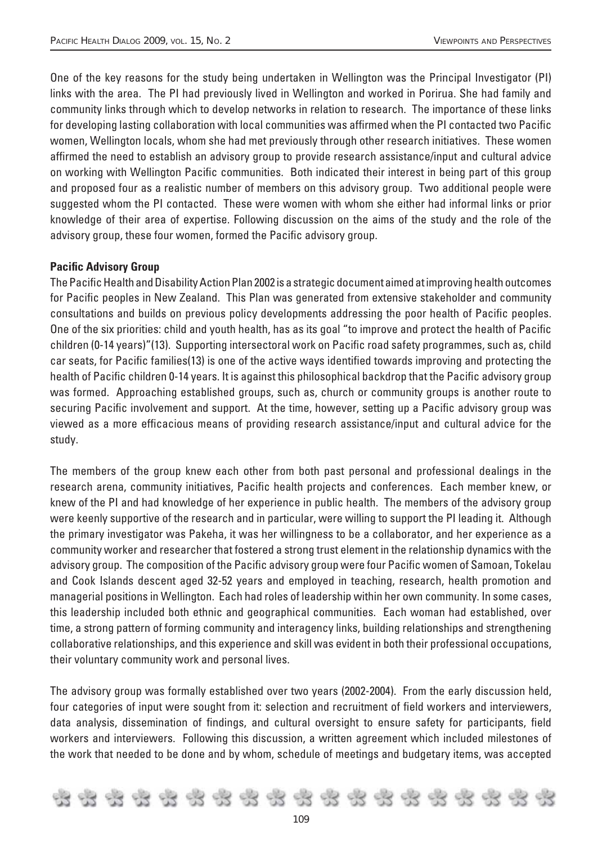One of the key reasons for the study being undertaken in Wellington was the Principal Investigator (PI) links with the area. The PI had previously lived in Wellington and worked in Porirua. She had family and community links through which to develop networks in relation to research. The importance of these links for developing lasting collaboration with local communities was affirmed when the PI contacted two Pacific women, Wellington locals, whom she had met previously through other research initiatives. These women affirmed the need to establish an advisory group to provide research assistance/input and cultural advice on working with Wellington Pacific communities. Both indicated their interest in being part of this group and proposed four as a realistic number of members on this advisory group. Two additional people were suggested whom the PI contacted. These were women with whom she either had informal links or prior knowledge of their area of expertise. Following discussion on the aims of the study and the role of the advisory group, these four women, formed the Pacific advisory group.

#### **Pacific Advisory Group**

The Pacific Health and Disability Action Plan 2002 is a strategic document aimed at improving health outcomes for Pacific peoples in New Zealand. This Plan was generated from extensive stakeholder and community consultations and builds on previous policy developments addressing the poor health of Pacific peoples. One of the six priorities: child and youth health, has as its goal "to improve and protect the health of Pacific children (0-14 years)"(13). Supporting intersectoral work on Pacific road safety programmes, such as, child car seats, for Pacific families(13) is one of the active ways identified towards improving and protecting the health of Pacific children 0-14 years. It is against this philosophical backdrop that the Pacific advisory group was formed. Approaching established groups, such as, church or community groups is another route to securing Pacific involvement and support. At the time, however, setting up a Pacific advisory group was viewed as a more efficacious means of providing research assistance/input and cultural advice for the study.

The members of the group knew each other from both past personal and professional dealings in the research arena, community initiatives, Pacific health projects and conferences. Each member knew, or knew of the PI and had knowledge of her experience in public health. The members of the advisory group were keenly supportive of the research and in particular, were willing to support the PI leading it. Although the primary investigator was Pakeha, it was her willingness to be a collaborator, and her experience as a community worker and researcher that fostered a strong trust element in the relationship dynamics with the advisory group. The composition of the Pacific advisory group were four Pacific women of Samoan, Tokelau and Cook Islands descent aged 32-52 years and employed in teaching, research, health promotion and managerial positions in Wellington. Each had roles of leadership within her own community. In some cases, this leadership included both ethnic and geographical communities. Each woman had established, over time, a strong pattern of forming community and interagency links, building relationships and strengthening collaborative relationships, and this experience and skill was evident in both their professional occupations, their voluntary community work and personal lives.

The advisory group was formally established over two years (2002-2004). From the early discussion held, four categories of input were sought from it: selection and recruitment of field workers and interviewers, data analysis, dissemination of findings, and cultural oversight to ensure safety for participants, field workers and interviewers. Following this discussion, a written agreement which included milestones of the work that needed to be done and by whom, schedule of meetings and budgetary items, was accepted

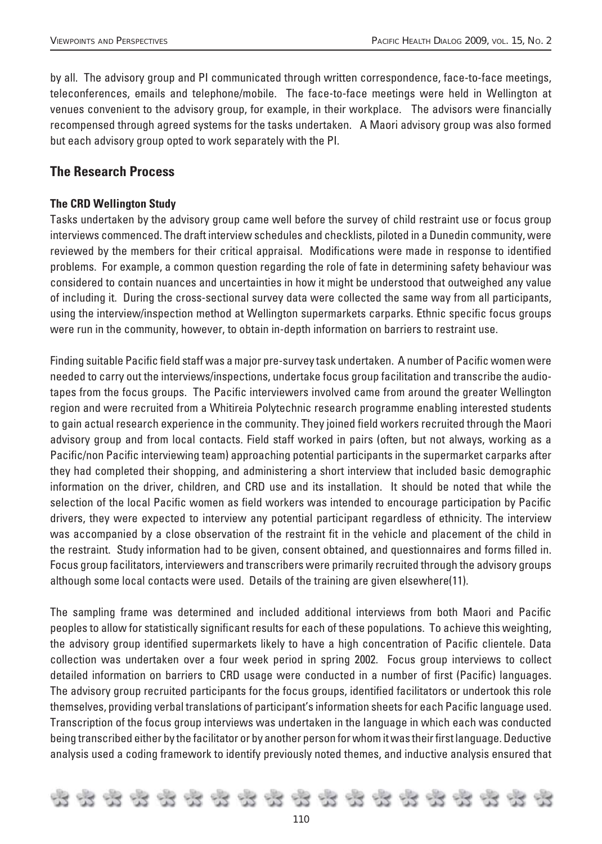by all. The advisory group and PI communicated through written correspondence, face-to-face meetings, teleconferences, emails and telephone/mobile. The face-to-face meetings were held in Wellington at venues convenient to the advisory group, for example, in their workplace. The advisors were financially recompensed through agreed systems for the tasks undertaken. A Maori advisory group was also formed but each advisory group opted to work separately with the PI.

# **The Research Process**

#### **The CRD Wellington Study**

Tasks undertaken by the advisory group came well before the survey of child restraint use or focus group interviews commenced. The draft interview schedules and checklists, piloted in a Dunedin community, were reviewed by the members for their critical appraisal. Modifications were made in response to identified problems. For example, a common question regarding the role of fate in determining safety behaviour was considered to contain nuances and uncertainties in how it might be understood that outweighed any value of including it. During the cross-sectional survey data were collected the same way from all participants, using the interview/inspection method at Wellington supermarkets carparks. Ethnic specific focus groups were run in the community, however, to obtain in-depth information on barriers to restraint use.

Finding suitable Pacific field staff was a major pre-survey task undertaken. A number of Pacific women were needed to carry out the interviews/inspections, undertake focus group facilitation and transcribe the audiotapes from the focus groups. The Pacific interviewers involved came from around the greater Wellington region and were recruited from a Whitireia Polytechnic research programme enabling interested students to gain actual research experience in the community. They joined field workers recruited through the Maori advisory group and from local contacts. Field staff worked in pairs (often, but not always, working as a Pacific/non Pacific interviewing team) approaching potential participants in the supermarket carparks after they had completed their shopping, and administering a short interview that included basic demographic information on the driver, children, and CRD use and its installation. It should be noted that while the selection of the local Pacific women as field workers was intended to encourage participation by Pacific drivers, they were expected to interview any potential participant regardless of ethnicity. The interview was accompanied by a close observation of the restraint fit in the vehicle and placement of the child in the restraint. Study information had to be given, consent obtained, and questionnaires and forms filled in. Focus group facilitators, interviewers and transcribers were primarily recruited through the advisory groups although some local contacts were used. Details of the training are given elsewhere(11).

The sampling frame was determined and included additional interviews from both Maori and Pacific peoples to allow for statistically significant results for each of these populations. To achieve this weighting, the advisory group identified supermarkets likely to have a high concentration of Pacific clientele. Data collection was undertaken over a four week period in spring 2002. Focus group interviews to collect detailed information on barriers to CRD usage were conducted in a number of first (Pacific) languages. The advisory group recruited participants for the focus groups, identified facilitators or undertook this role themselves, providing verbal translations of participant's information sheets for each Pacific language used. Transcription of the focus group interviews was undertaken in the language in which each was conducted being transcribed either by the facilitator or by another person for whom it was their first language. Deductive analysis used a coding framework to identify previously noted themes, and inductive analysis ensured that

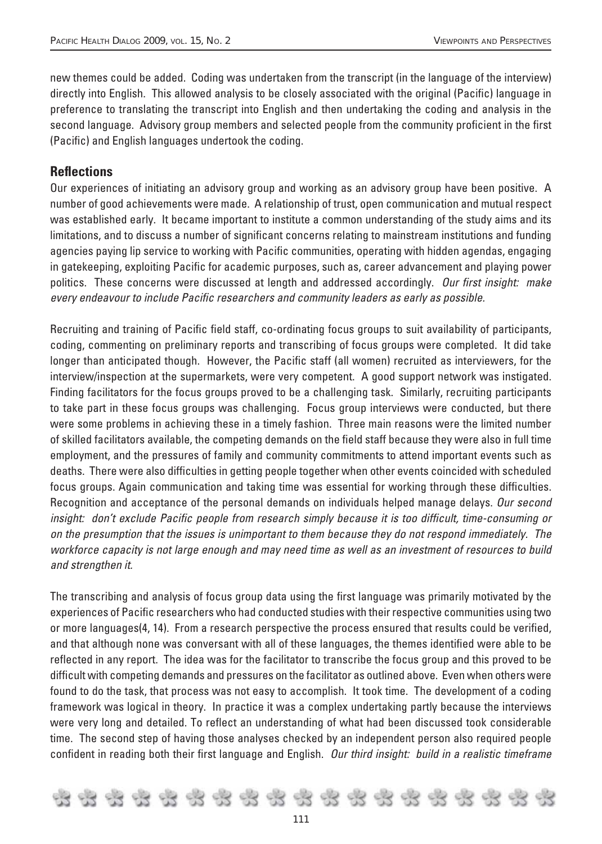new themes could be added. Coding was undertaken from the transcript (in the language of the interview) directly into English. This allowed analysis to be closely associated with the original (Pacific) language in preference to translating the transcript into English and then undertaking the coding and analysis in the second language. Advisory group members and selected people from the community proficient in the first (Pacific) and English languages undertook the coding.

# **Refl ections**

Our experiences of initiating an advisory group and working as an advisory group have been positive. A number of good achievements were made. A relationship of trust, open communication and mutual respect was established early. It became important to institute a common understanding of the study aims and its limitations, and to discuss a number of significant concerns relating to mainstream institutions and funding agencies paying lip service to working with Pacific communities, operating with hidden agendas, engaging in gatekeeping, exploiting Pacific for academic purposes, such as, career advancement and playing power politics. These concerns were discussed at length and addressed accordingly. Our first insight: make every endeavour to include Pacific researchers and community leaders as early as possible.

Recruiting and training of Pacific field staff, co-ordinating focus groups to suit availability of participants, coding, commenting on preliminary reports and transcribing of focus groups were completed. It did take longer than anticipated though. However, the Pacific staff (all women) recruited as interviewers, for the interview/inspection at the supermarkets, were very competent. A good support network was instigated. Finding facilitators for the focus groups proved to be a challenging task. Similarly, recruiting participants to take part in these focus groups was challenging. Focus group interviews were conducted, but there were some problems in achieving these in a timely fashion. Three main reasons were the limited number of skilled facilitators available, the competing demands on the field staff because they were also in full time employment, and the pressures of family and community commitments to attend important events such as deaths. There were also difficulties in getting people together when other events coincided with scheduled focus groups. Again communication and taking time was essential for working through these difficulties. Recognition and acceptance of the personal demands on individuals helped manage delays. Our second insight: don't exclude Pacific people from research simply because it is too difficult, time-consuming or on the presumption that the issues is unimportant to them because they do not respond immediately. The workforce capacity is not large enough and may need time as well as an investment of resources to build and strengthen it.

The transcribing and analysis of focus group data using the first language was primarily motivated by the experiences of Pacific researchers who had conducted studies with their respective communities using two or more languages(4, 14). From a research perspective the process ensured that results could be verified, and that although none was conversant with all of these languages, the themes identified were able to be reflected in any report. The idea was for the facilitator to transcribe the focus group and this proved to be difficult with competing demands and pressures on the facilitator as outlined above. Even when others were found to do the task, that process was not easy to accomplish. It took time. The development of a coding framework was logical in theory. In practice it was a complex undertaking partly because the interviews were very long and detailed. To reflect an understanding of what had been discussed took considerable time. The second step of having those analyses checked by an independent person also required people confident in reading both their first language and English. Our third insight: build in a realistic timeframe

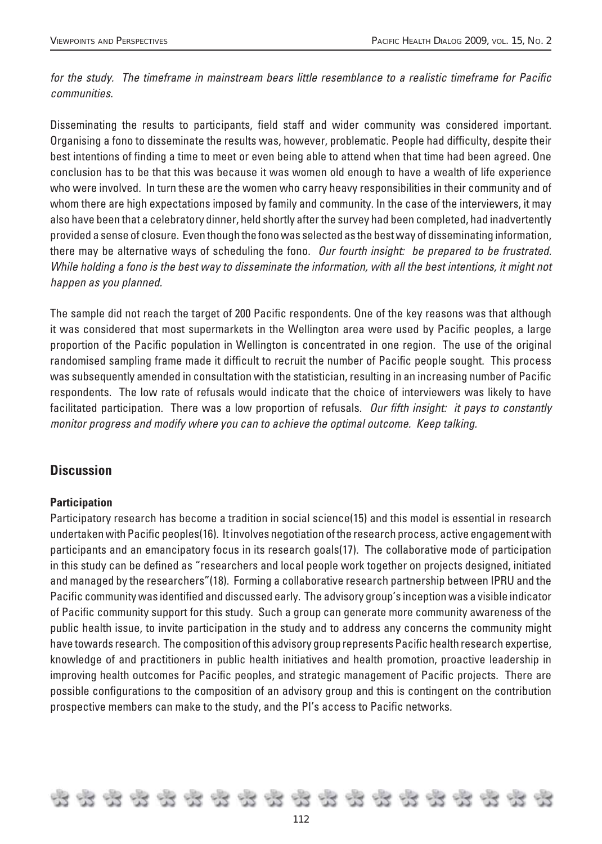for the study. The timeframe in mainstream bears little resemblance to a realistic timeframe for Pacific communities.

Disseminating the results to participants, field staff and wider community was considered important. Organising a fono to disseminate the results was, however, problematic. People had difficulty, despite their best intentions of finding a time to meet or even being able to attend when that time had been agreed. One conclusion has to be that this was because it was women old enough to have a wealth of life experience who were involved. In turn these are the women who carry heavy responsibilities in their community and of whom there are high expectations imposed by family and community. In the case of the interviewers, it may also have been that a celebratory dinner, held shortly after the survey had been completed, had inadvertently provided a sense of closure. Even though the fono was selected as the best way of disseminating information, there may be alternative ways of scheduling the fono. Our fourth insight: be prepared to be frustrated. While holding a fono is the best way to disseminate the information, with all the best intentions, it might not happen as you planned.

The sample did not reach the target of 200 Pacific respondents. One of the key reasons was that although it was considered that most supermarkets in the Wellington area were used by Pacific peoples, a large proportion of the Pacific population in Wellington is concentrated in one region. The use of the original randomised sampling frame made it difficult to recruit the number of Pacific people sought. This process was subsequently amended in consultation with the statistician, resulting in an increasing number of Pacific respondents. The low rate of refusals would indicate that the choice of interviewers was likely to have facilitated participation. There was a low proportion of refusals. Our fifth insight: it pays to constantly monitor progress and modify where you can to achieve the optimal outcome. Keep talking.

## **Discussion**

#### **Participation**

Participatory research has become a tradition in social science(15) and this model is essential in research undertaken with Pacific peoples(16). It involves negotiation of the research process, active engagement with participants and an emancipatory focus in its research goals(17). The collaborative mode of participation in this study can be defined as "researchers and local people work together on projects designed, initiated and managed by the researchers"(18). Forming a collaborative research partnership between IPRU and the Pacific community was identified and discussed early. The advisory group's inception was a visible indicator of Pacific community support for this study. Such a group can generate more community awareness of the public health issue, to invite participation in the study and to address any concerns the community might have towards research. The composition of this advisory group represents Pacific health research expertise, knowledge of and practitioners in public health initiatives and health promotion, proactive leadership in improving health outcomes for Pacific peoples, and strategic management of Pacific projects. There are possible configurations to the composition of an advisory group and this is contingent on the contribution prospective members can make to the study, and the PI's access to Pacific networks.

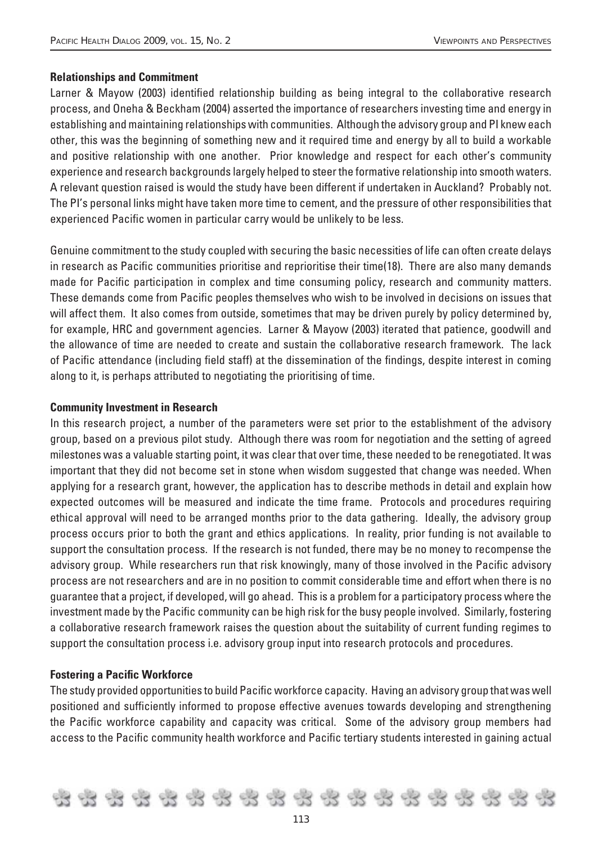#### **Relationships and Commitment**

Larner & Mayow (2003) identified relationship building as being integral to the collaborative research process, and Oneha & Beckham (2004) asserted the importance of researchers investing time and energy in establishing and maintaining relationships with communities. Although the advisory group and PI knew each other, this was the beginning of something new and it required time and energy by all to build a workable and positive relationship with one another. Prior knowledge and respect for each other's community experience and research backgrounds largely helped to steer the formative relationship into smooth waters. A relevant question raised is would the study have been different if undertaken in Auckland? Probably not. The PI's personal links might have taken more time to cement, and the pressure of other responsibilities that experienced Pacific women in particular carry would be unlikely to be less.

Genuine commitment to the study coupled with securing the basic necessities of life can often create delays in research as Pacific communities prioritise and reprioritise their time(18). There are also many demands made for Pacific participation in complex and time consuming policy, research and community matters. These demands come from Pacific peoples themselves who wish to be involved in decisions on issues that will affect them. It also comes from outside, sometimes that may be driven purely by policy determined by, for example, HRC and government agencies. Larner & Mayow (2003) iterated that patience, goodwill and the allowance of time are needed to create and sustain the collaborative research framework. The lack of Pacific attendance (including field staff) at the dissemination of the findings, despite interest in coming along to it, is perhaps attributed to negotiating the prioritising of time.

#### **Community Investment in Research**

In this research project, a number of the parameters were set prior to the establishment of the advisory group, based on a previous pilot study. Although there was room for negotiation and the setting of agreed milestones was a valuable starting point, it was clear that over time, these needed to be renegotiated. It was important that they did not become set in stone when wisdom suggested that change was needed. When applying for a research grant, however, the application has to describe methods in detail and explain how expected outcomes will be measured and indicate the time frame. Protocols and procedures requiring ethical approval will need to be arranged months prior to the data gathering. Ideally, the advisory group process occurs prior to both the grant and ethics applications. In reality, prior funding is not available to support the consultation process. If the research is not funded, there may be no money to recompense the advisory group. While researchers run that risk knowingly, many of those involved in the Pacific advisory process are not researchers and are in no position to commit considerable time and effort when there is no guarantee that a project, if developed, will go ahead. This is a problem for a participatory process where the investment made by the Pacific community can be high risk for the busy people involved. Similarly, fostering a collaborative research framework raises the question about the suitability of current funding regimes to support the consultation process i.e. advisory group input into research protocols and procedures.

#### **Fostering a Pacific Workforce**

The study provided opportunities to build Pacific workforce capacity. Having an advisory group that was well positioned and sufficiently informed to propose effective avenues towards developing and strengthening the Pacific workforce capability and capacity was critical. Some of the advisory group members had access to the Pacific community health workforce and Pacific tertiary students interested in gaining actual

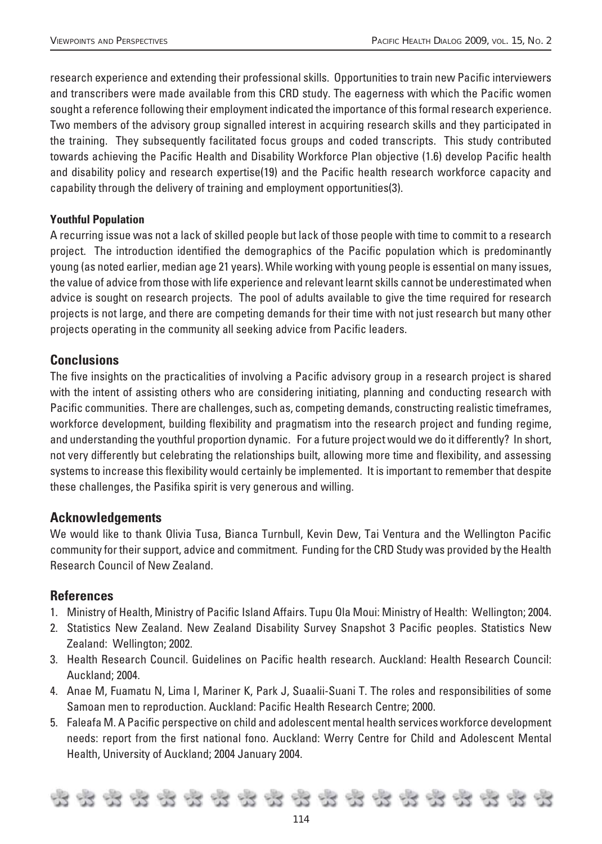research experience and extending their professional skills. Opportunities to train new Pacific interviewers and transcribers were made available from this CRD study. The eagerness with which the Pacific women sought a reference following their employment indicated the importance of this formal research experience. Two members of the advisory group signalled interest in acquiring research skills and they participated in the training. They subsequently facilitated focus groups and coded transcripts. This study contributed towards achieving the Pacific Health and Disability Workforce Plan objective (1.6) develop Pacific health and disability policy and research expertise(19) and the Pacific health research workforce capacity and capability through the delivery of training and employment opportunities(3).

#### **Youthful Population**

A recurring issue was not a lack of skilled people but lack of those people with time to commit to a research project. The introduction identified the demographics of the Pacific population which is predominantly young (as noted earlier, median age 21 years). While working with young people is essential on many issues, the value of advice from those with life experience and relevant learnt skills cannot be underestimated when advice is sought on research projects. The pool of adults available to give the time required for research projects is not large, and there are competing demands for their time with not just research but many other projects operating in the community all seeking advice from Pacific leaders.

### **Conclusions**

The five insights on the practicalities of involving a Pacific advisory group in a research project is shared with the intent of assisting others who are considering initiating, planning and conducting research with Pacific communities. There are challenges, such as, competing demands, constructing realistic timeframes, workforce development, building flexibility and pragmatism into the research project and funding regime, and understanding the youthful proportion dynamic. For a future project would we do it differently? In short, not very differently but celebrating the relationships built, allowing more time and flexibility, and assessing systems to increase this flexibility would certainly be implemented. It is important to remember that despite these challenges, the Pasifika spirit is very generous and willing.

#### **Acknowledgements**

We would like to thank Olivia Tusa, Bianca Turnbull, Kevin Dew, Tai Ventura and the Wellington Pacific community for their support, advice and commitment. Funding for the CRD Study was provided by the Health Research Council of New Zealand.

#### **References**

- 1. Ministry of Health, Ministry of Pacific Island Affairs. Tupu Ola Moui: Ministry of Health: Wellington; 2004.
- 2. Statistics New Zealand. New Zealand Disability Survey Snapshot 3 Pacific peoples. Statistics New Zealand: Wellington; 2002.
- 3. Health Research Council. Guidelines on Pacific health research. Auckland: Health Research Council: Auckland; 2004.
- 4. Anae M, Fuamatu N, Lima I, Mariner K, Park J, Suaalii-Suani T. The roles and responsibilities of some Samoan men to reproduction. Auckland: Pacific Health Research Centre; 2000.
- 5. Faleafa M. A Pacific perspective on child and adolescent mental health services workforce development needs: report from the first national fono. Auckland: Werry Centre for Child and Adolescent Mental Health, University of Auckland; 2004 January 2004.

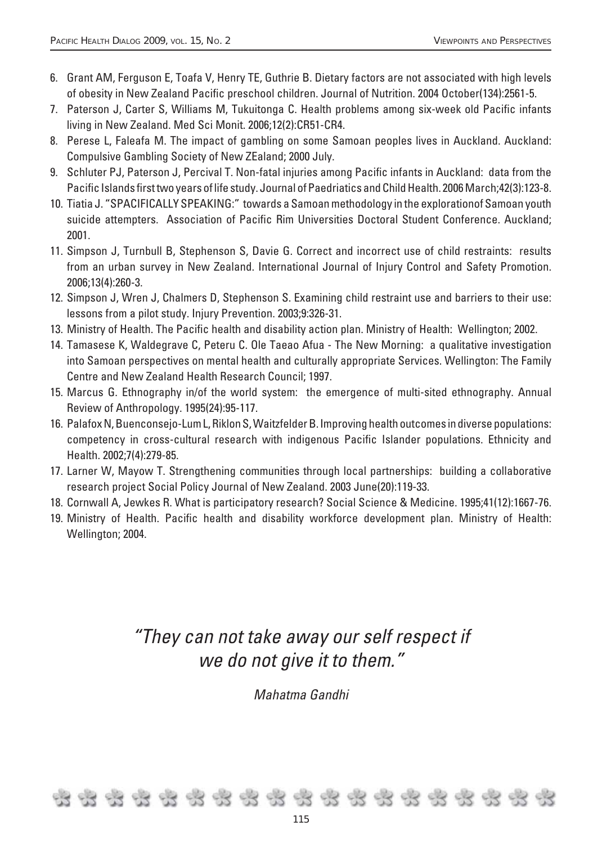- 6. Grant AM, Ferguson E, Toafa V, Henry TE, Guthrie B. Dietary factors are not associated with high levels of obesity in New Zealand Pacific preschool children. Journal of Nutrition. 2004 October(134):2561-5.
- 7. Paterson J, Carter S, Williams M, Tukuitonga C. Health problems among six-week old Pacific infants living in New Zealand. Med Sci Monit. 2006;12(2):CR51-CR4.
- 8. Perese L, Faleafa M. The impact of gambling on some Samoan peoples lives in Auckland. Auckland: Compulsive Gambling Society of New ZEaland; 2000 July.
- 9. Schluter PJ, Paterson J, Percival T. Non-fatal injuries among Pacific infants in Auckland: data from the Pacific Islands first two years of life study. Journal of Paedriatics and Child Health. 2006 March;42(3):123-8.
- 10. Tiatia J. "SPACIFICALLY SPEAKING:" towards a Samoan methodology in the explorationof Samoan youth suicide attempters. Association of Pacific Rim Universities Doctoral Student Conference. Auckland; 2001.
- 11. Simpson J, Turnbull B, Stephenson S, Davie G. Correct and incorrect use of child restraints: results from an urban survey in New Zealand. International Journal of Injury Control and Safety Promotion. 2006;13(4):260-3.
- 12. Simpson J, Wren J, Chalmers D, Stephenson S. Examining child restraint use and barriers to their use: lessons from a pilot study. Injury Prevention. 2003;9:326-31.
- 13. Ministry of Health. The Pacific health and disability action plan. Ministry of Health: Wellington; 2002.
- 14. Tamasese K, Waldegrave C, Peteru C. Ole Taeao Afua The New Morning: a qualitative investigation into Samoan perspectives on mental health and culturally appropriate Services. Wellington: The Family Centre and New Zealand Health Research Council; 1997.
- 15. Marcus G. Ethnography in/of the world system: the emergence of multi-sited ethnography. Annual Review of Anthropology. 1995(24):95-117.
- 16. Palafox N, Buenconsejo-Lum L, Riklon S, Waitzfelder B. Improving health outcomes in diverse populations: competency in cross-cultural research with indigenous Pacific Islander populations. Ethnicity and Health. 2002;7(4):279-85.
- 17. Larner W, Mayow T. Strengthening communities through local partnerships: building a collaborative research project Social Policy Journal of New Zealand. 2003 June(20):119-33.
- 18. Cornwall A, Jewkes R. What is participatory research? Social Science & Medicine. 1995;41(12):1667-76.
- 19. Ministry of Health. Pacific health and disability workforce development plan. Ministry of Health: Wellington; 2004.

# "They can not take away our self respect if we do not give it to them."

Mahatma Gandhi